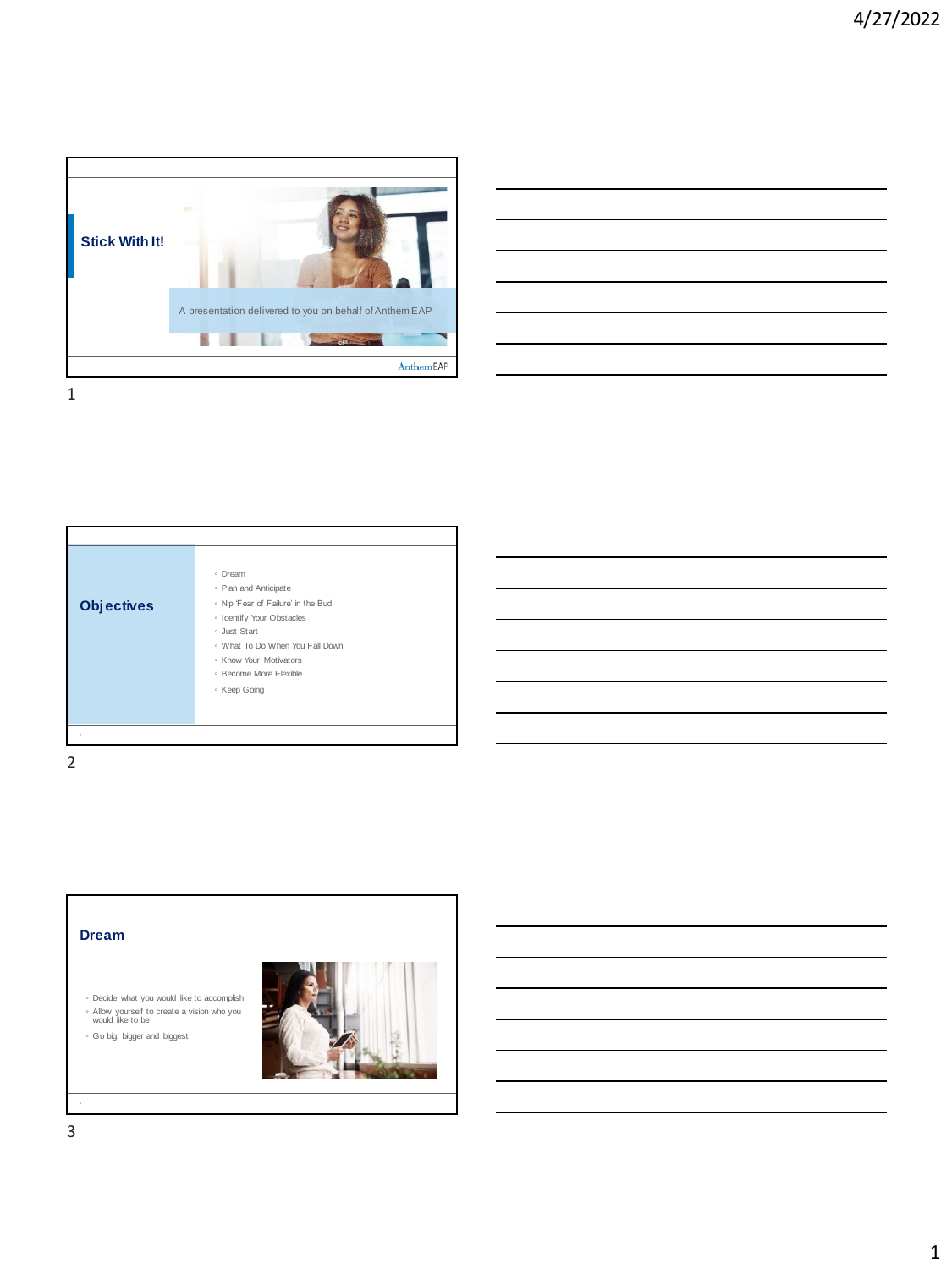

| <b>Contract Contract Contract Contract</b> |  |                                   |
|--------------------------------------------|--|-----------------------------------|
|                                            |  |                                   |
|                                            |  |                                   |
|                                            |  |                                   |
|                                            |  |                                   |
|                                            |  |                                   |
|                                            |  |                                   |
|                                            |  |                                   |
|                                            |  |                                   |
|                                            |  | the control of the control of the |
|                                            |  |                                   |
|                                            |  |                                   |
|                                            |  |                                   |
|                                            |  |                                   |
|                                            |  |                                   |
|                                            |  |                                   |
|                                            |  |                                   |
|                                            |  |                                   |



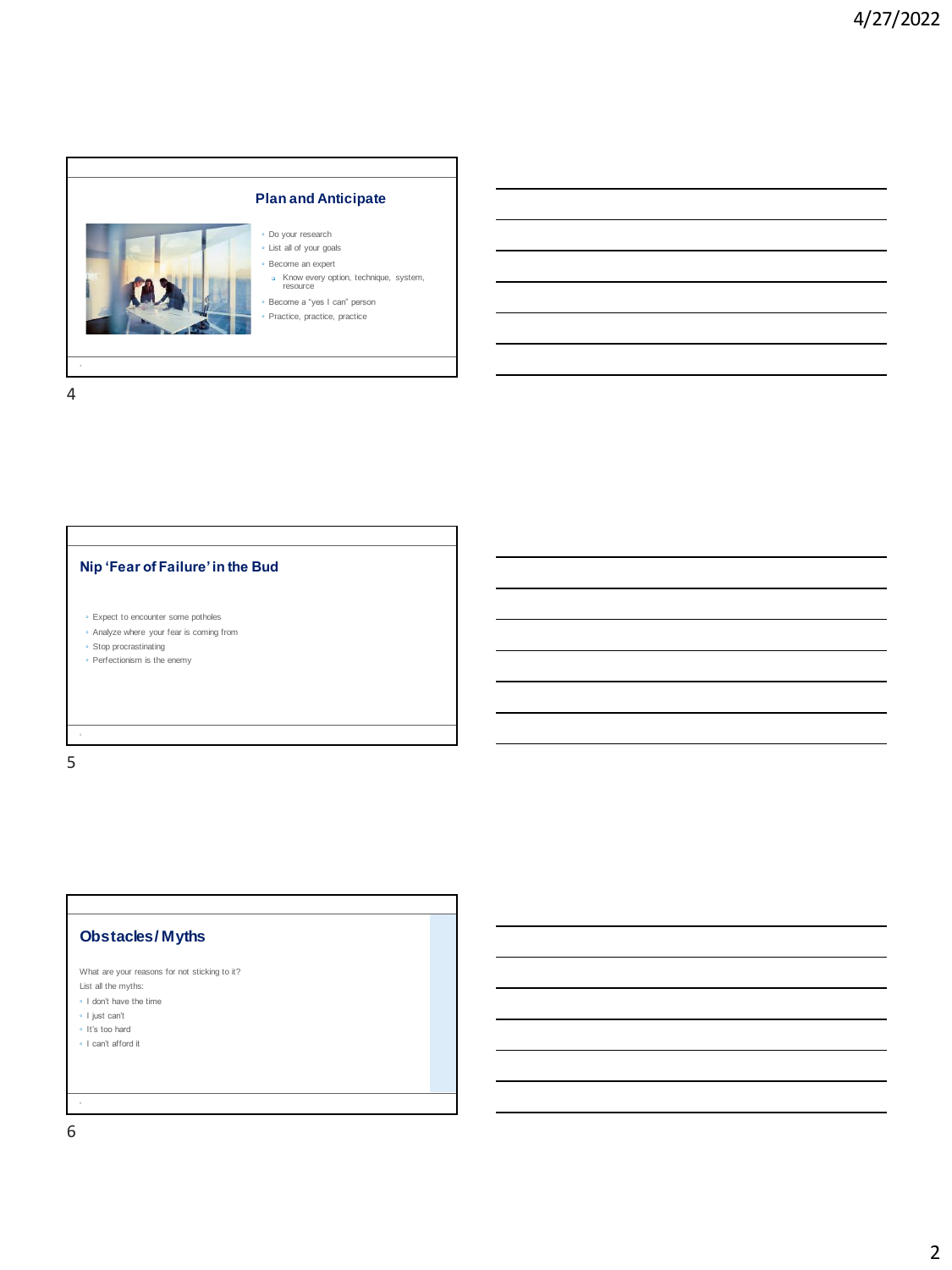

4

## **Nip 'Fear of Failure' in the Bud**

- Expect to encounter some potholes
- Analyze where your fear is coming from
- Stop procrastinating
- Perfectionism is the enemy

5

# **Obstacles / Myths**

| What are your reasons for not sticking to it? |
|-----------------------------------------------|
| List all the myths:                           |
| • I don't have the time                       |
| • I just can't                                |

- It's too hard
- I can't afford it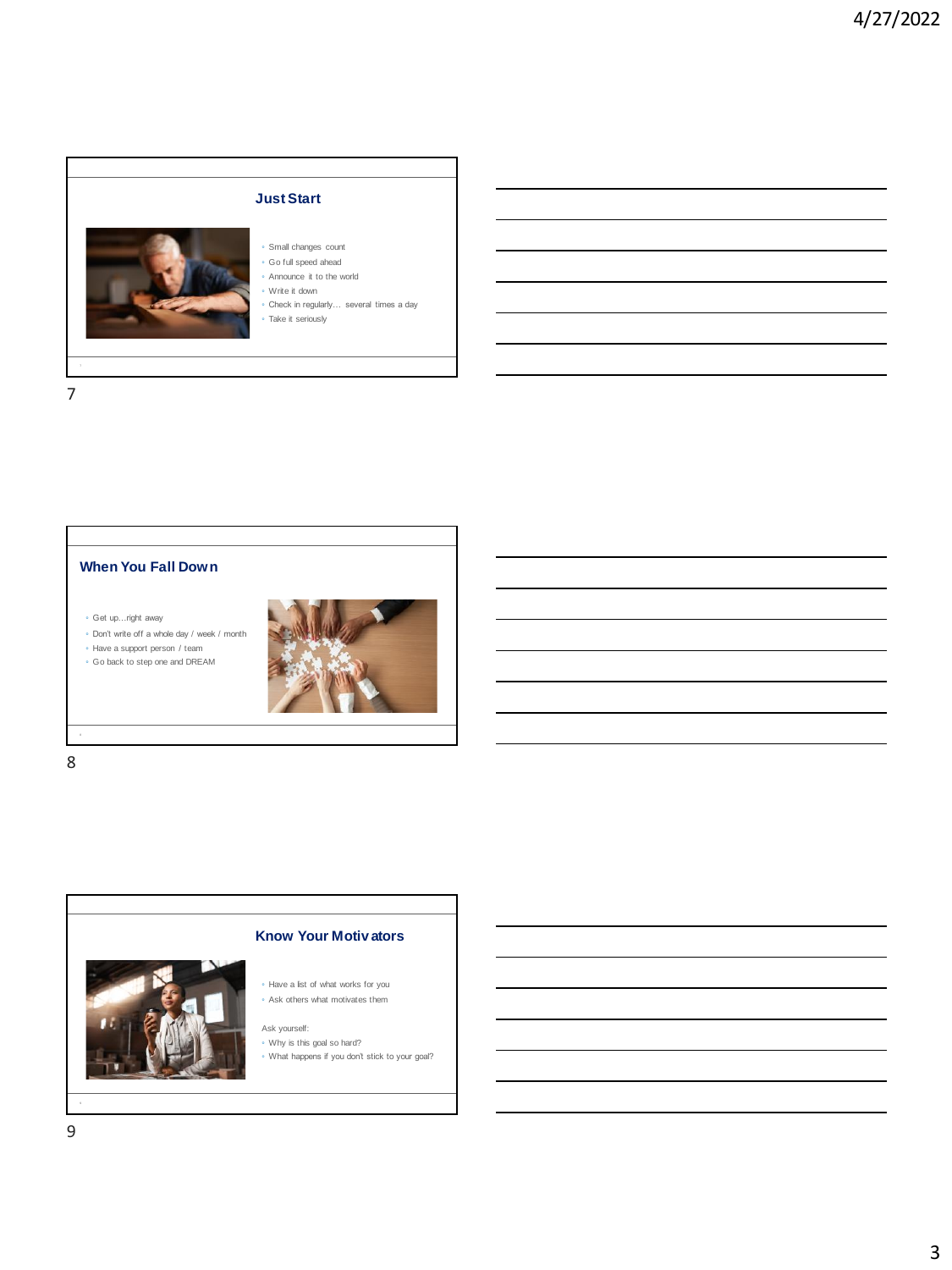

7

#### **When You Fall Down**

◦ Get up…right away

◦ Don't write off a whole day / week / month

◦ Have a support person / team





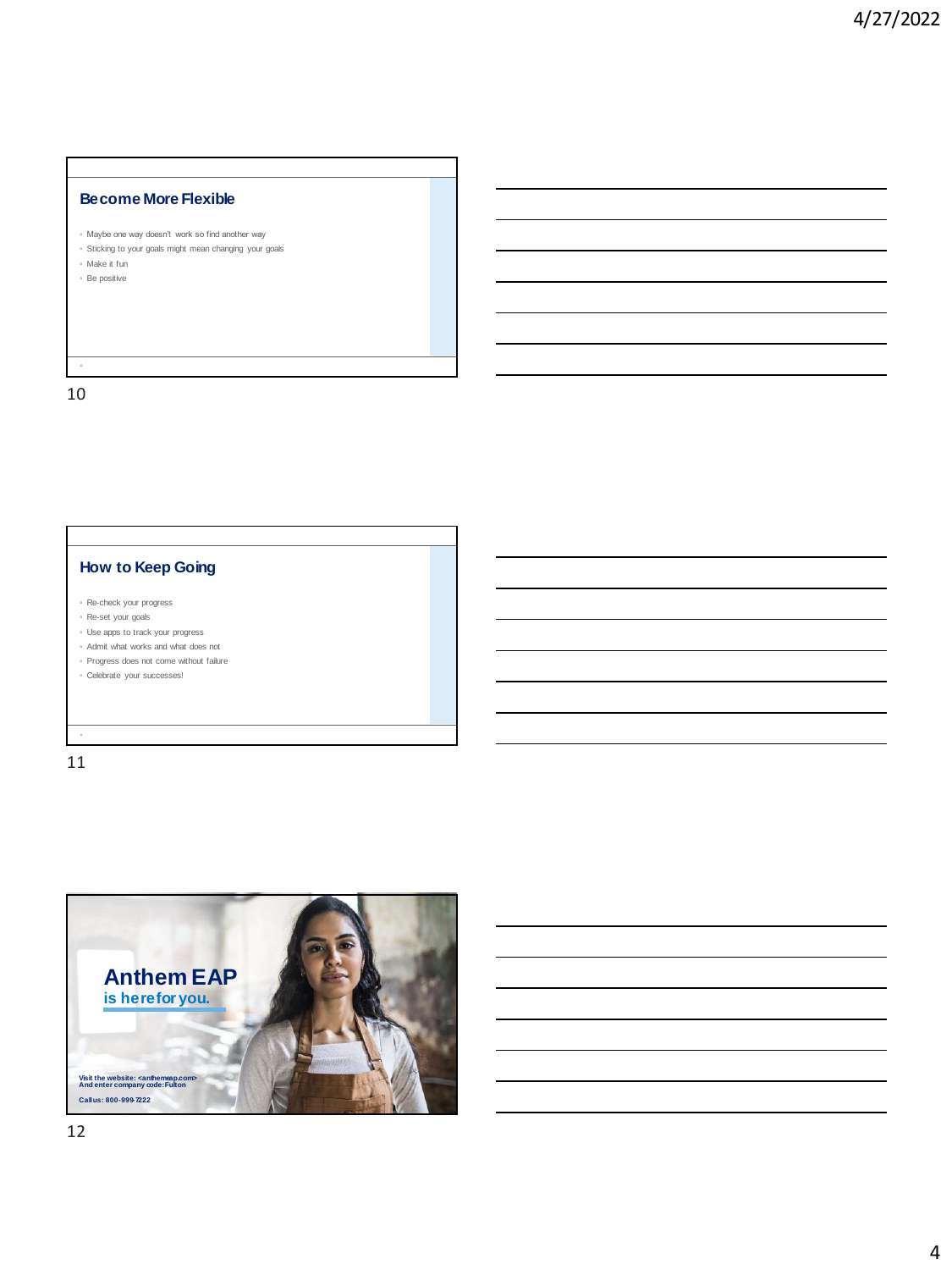#### **Become More Flexible**

- Maybe one way doesn't work so find another way
- Sticking to your goals might mean changing your goals
- Make it fun ◦ Be positive

10 10

## **How to Keep Going**

- Re-check your progress
- Re-set your goals
- Use apps to track your progress
- Admit what works and what does not ◦ Progress does not come without failure
- 
- Celebrate your successes!